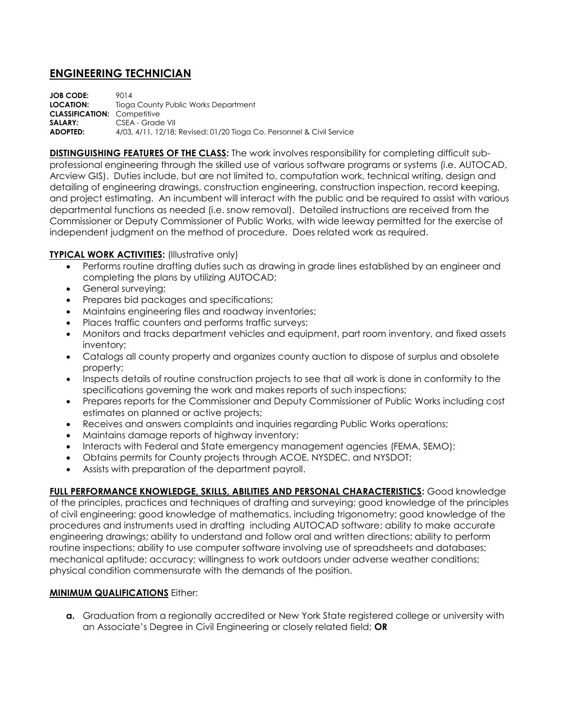## **ENGINEERING TECHNICIAN**

**JOB CODE:** 9014 **LOCATION:** Tioga County Public Works Department **CLASSIFICATION:** Competitive SALARY: CSEA - Grade VII **ADOPTED:** 4/03, 4/11, 12/18; Revised: 01/20 Tioga Co. Personnel & Civil Service

**DISTINGUISHING FEATURES OF THE CLASS:** The work involves responsibility for completing difficult subprofessional engineering through the skilled use of various software programs or systems (i.e. AUTOCAD, Arcview GIS). Duties include, but are not limited to, computation work, technical writing, design and detailing of engineering drawings, construction engineering, construction inspection, record keeping, and project estimating. An incumbent will interact with the public and be required to assist with various departmental functions as needed (i.e. snow removal). Detailed instructions are received from the Commissioner or Deputy Commissioner of Public Works, with wide leeway permitted for the exercise of independent judgment on the method of procedure. Does related work as required.

## **TYPICAL WORK ACTIVITIES:** (Illustrative only)

- Performs routine drafting duties such as drawing in grade lines established by an engineer and completing the plans by utilizing AUTOCAD;
- General surveying;
- **•** Prepares bid packages and specifications;
- Maintains engineering files and roadway inventories;
- Places traffic counters and performs traffic surveys;
- Monitors and tracks department vehicles and equipment, part room inventory, and fixed assets inventory;
- Catalogs all county property and organizes county auction to dispose of surplus and obsolete property;
- Inspects details of routine construction projects to see that all work is done in conformity to the specifications governing the work and makes reports of such inspections;
- Prepares reports for the Commissioner and Deputy Commissioner of Public Works including cost estimates on planned or active projects;
- Receives and answers complaints and inquiries regarding Public Works operations;
- Maintains damage reports of highway inventory;
- Interacts with Federal and State emergency management agencies (FEMA, SEMO);
- Obtains permits for County projects through ACOE, NYSDEC, and NYSDOT;
- Assists with preparation of the department payroll.

**FULL PERFORMANCE KNOWLEDGE, SKILLS, ABILITIES AND PERSONAL CHARACTERISTICS:** Good knowledge of the principles, practices and techniques of drafting and surveying; good knowledge of the principles of civil engineering; good knowledge of mathematics, including trigonometry; good knowledge of the procedures and instruments used in drafting including AUTOCAD software; ability to make accurate engineering drawings; ability to understand and follow oral and written directions; ability to perform routine inspections; ability to use computer software involving use of spreadsheets and databases; mechanical aptitude; accuracy; willingness to work outdoors under adverse weather conditions; physical condition commensurate with the demands of the position.

## **MINIMUM QUALIFICATIONS** Either:

**a.** Graduation from a regionally accredited or New York State registered college or university with an Associate's Degree in Civil Engineering or closely related field; **OR**